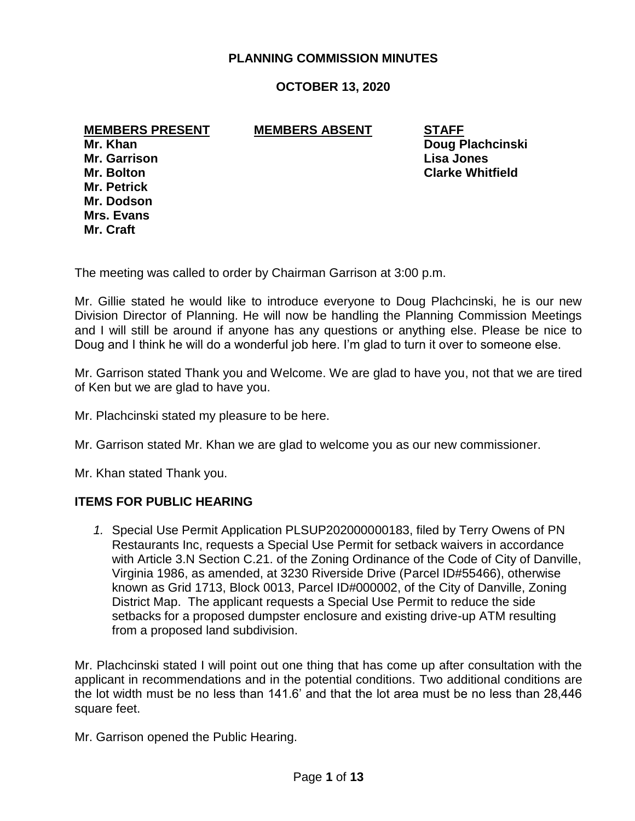## **PLANNING COMMISSION MINUTES**

## **OCTOBER 13, 2020**

**MEMBERS PRESENT MEMBERS ABSENT STAFF**

**Mr. Petrick Mr. Dodson Mrs. Evans Mr. Craft**

**Mr. Khan Doug Plachcinski Mr. Garrison Lisa Jones Mr. Bolton Clarke Whitfield**

The meeting was called to order by Chairman Garrison at 3:00 p.m.

Mr. Gillie stated he would like to introduce everyone to Doug Plachcinski, he is our new Division Director of Planning. He will now be handling the Planning Commission Meetings and I will still be around if anyone has any questions or anything else. Please be nice to Doug and I think he will do a wonderful job here. I'm glad to turn it over to someone else.

Mr. Garrison stated Thank you and Welcome. We are glad to have you, not that we are tired of Ken but we are glad to have you.

Mr. Plachcinski stated my pleasure to be here.

Mr. Garrison stated Mr. Khan we are glad to welcome you as our new commissioner.

Mr. Khan stated Thank you.

#### **ITEMS FOR PUBLIC HEARING**

*1.* Special Use Permit Application PLSUP202000000183, filed by Terry Owens of PN Restaurants Inc, requests a Special Use Permit for setback waivers in accordance with Article 3.N Section C.21. of the Zoning Ordinance of the Code of City of Danville, Virginia 1986, as amended, at 3230 Riverside Drive (Parcel ID#55466), otherwise known as Grid 1713, Block 0013, Parcel ID#000002, of the City of Danville, Zoning District Map. The applicant requests a Special Use Permit to reduce the side setbacks for a proposed dumpster enclosure and existing drive-up ATM resulting from a proposed land subdivision.

Mr. Plachcinski stated I will point out one thing that has come up after consultation with the applicant in recommendations and in the potential conditions. Two additional conditions are the lot width must be no less than 141.6' and that the lot area must be no less than 28,446 square feet.

Mr. Garrison opened the Public Hearing.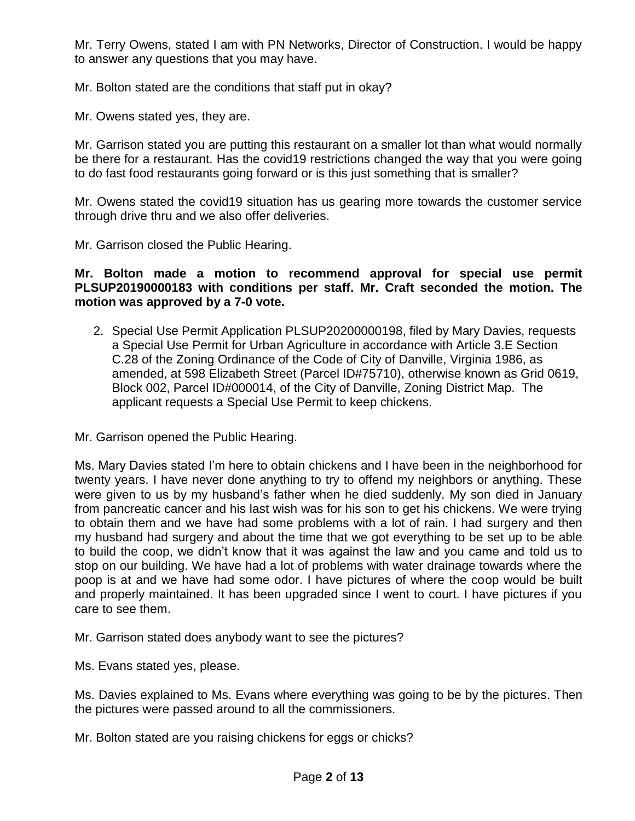Mr. Terry Owens, stated I am with PN Networks, Director of Construction. I would be happy to answer any questions that you may have.

Mr. Bolton stated are the conditions that staff put in okay?

Mr. Owens stated yes, they are.

Mr. Garrison stated you are putting this restaurant on a smaller lot than what would normally be there for a restaurant. Has the covid19 restrictions changed the way that you were going to do fast food restaurants going forward or is this just something that is smaller?

Mr. Owens stated the covid19 situation has us gearing more towards the customer service through drive thru and we also offer deliveries.

Mr. Garrison closed the Public Hearing.

**Mr. Bolton made a motion to recommend approval for special use permit PLSUP20190000183 with conditions per staff. Mr. Craft seconded the motion. The motion was approved by a 7-0 vote.**

2. Special Use Permit Application PLSUP20200000198, filed by Mary Davies, requests a Special Use Permit for Urban Agriculture in accordance with Article 3.E Section C.28 of the Zoning Ordinance of the Code of City of Danville, Virginia 1986, as amended, at 598 Elizabeth Street (Parcel ID#75710), otherwise known as Grid 0619, Block 002, Parcel ID#000014, of the City of Danville, Zoning District Map. The applicant requests a Special Use Permit to keep chickens.

Mr. Garrison opened the Public Hearing.

Ms. Mary Davies stated I'm here to obtain chickens and I have been in the neighborhood for twenty years. I have never done anything to try to offend my neighbors or anything. These were given to us by my husband's father when he died suddenly. My son died in January from pancreatic cancer and his last wish was for his son to get his chickens. We were trying to obtain them and we have had some problems with a lot of rain. I had surgery and then my husband had surgery and about the time that we got everything to be set up to be able to build the coop, we didn't know that it was against the law and you came and told us to stop on our building. We have had a lot of problems with water drainage towards where the poop is at and we have had some odor. I have pictures of where the coop would be built and properly maintained. It has been upgraded since I went to court. I have pictures if you care to see them.

Mr. Garrison stated does anybody want to see the pictures?

Ms. Evans stated yes, please.

Ms. Davies explained to Ms. Evans where everything was going to be by the pictures. Then the pictures were passed around to all the commissioners.

Mr. Bolton stated are you raising chickens for eggs or chicks?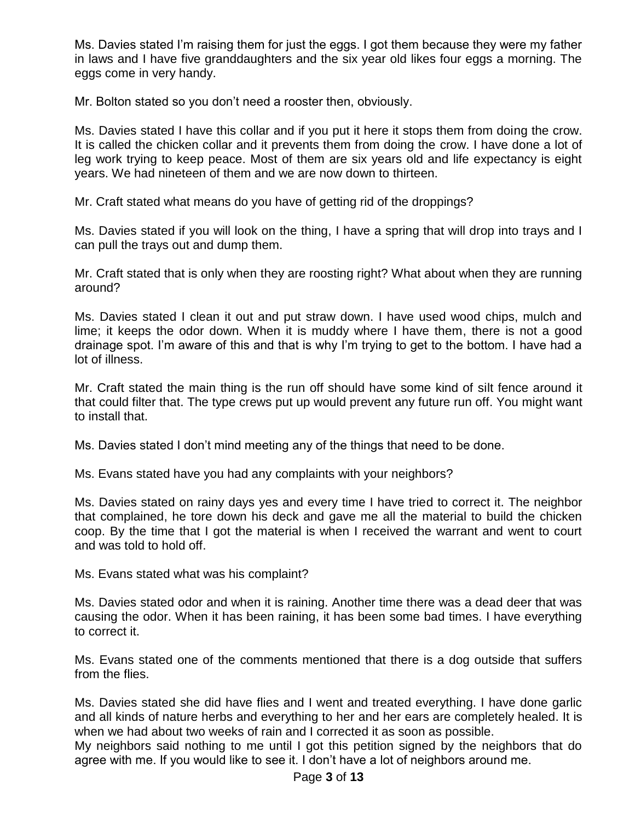Ms. Davies stated I'm raising them for just the eggs. I got them because they were my father in laws and I have five granddaughters and the six year old likes four eggs a morning. The eggs come in very handy.

Mr. Bolton stated so you don't need a rooster then, obviously.

Ms. Davies stated I have this collar and if you put it here it stops them from doing the crow. It is called the chicken collar and it prevents them from doing the crow. I have done a lot of leg work trying to keep peace. Most of them are six years old and life expectancy is eight years. We had nineteen of them and we are now down to thirteen.

Mr. Craft stated what means do you have of getting rid of the droppings?

Ms. Davies stated if you will look on the thing, I have a spring that will drop into trays and I can pull the trays out and dump them.

Mr. Craft stated that is only when they are roosting right? What about when they are running around?

Ms. Davies stated I clean it out and put straw down. I have used wood chips, mulch and lime; it keeps the odor down. When it is muddy where I have them, there is not a good drainage spot. I'm aware of this and that is why I'm trying to get to the bottom. I have had a lot of illness.

Mr. Craft stated the main thing is the run off should have some kind of silt fence around it that could filter that. The type crews put up would prevent any future run off. You might want to install that.

Ms. Davies stated I don't mind meeting any of the things that need to be done.

Ms. Evans stated have you had any complaints with your neighbors?

Ms. Davies stated on rainy days yes and every time I have tried to correct it. The neighbor that complained, he tore down his deck and gave me all the material to build the chicken coop. By the time that I got the material is when I received the warrant and went to court and was told to hold off.

Ms. Evans stated what was his complaint?

Ms. Davies stated odor and when it is raining. Another time there was a dead deer that was causing the odor. When it has been raining, it has been some bad times. I have everything to correct it.

Ms. Evans stated one of the comments mentioned that there is a dog outside that suffers from the flies.

Ms. Davies stated she did have flies and I went and treated everything. I have done garlic and all kinds of nature herbs and everything to her and her ears are completely healed. It is when we had about two weeks of rain and I corrected it as soon as possible.

My neighbors said nothing to me until I got this petition signed by the neighbors that do agree with me. If you would like to see it. I don't have a lot of neighbors around me.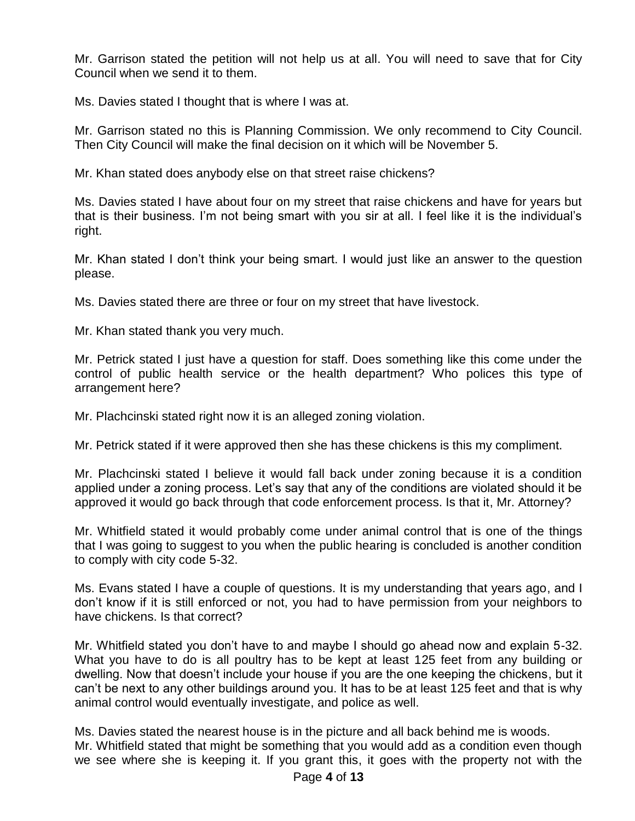Mr. Garrison stated the petition will not help us at all. You will need to save that for City Council when we send it to them.

Ms. Davies stated I thought that is where I was at.

Mr. Garrison stated no this is Planning Commission. We only recommend to City Council. Then City Council will make the final decision on it which will be November 5.

Mr. Khan stated does anybody else on that street raise chickens?

Ms. Davies stated I have about four on my street that raise chickens and have for years but that is their business. I'm not being smart with you sir at all. I feel like it is the individual's right.

Mr. Khan stated I don't think your being smart. I would just like an answer to the question please.

Ms. Davies stated there are three or four on my street that have livestock.

Mr. Khan stated thank you very much.

Mr. Petrick stated I just have a question for staff. Does something like this come under the control of public health service or the health department? Who polices this type of arrangement here?

Mr. Plachcinski stated right now it is an alleged zoning violation.

Mr. Petrick stated if it were approved then she has these chickens is this my compliment.

Mr. Plachcinski stated I believe it would fall back under zoning because it is a condition applied under a zoning process. Let's say that any of the conditions are violated should it be approved it would go back through that code enforcement process. Is that it, Mr. Attorney?

Mr. Whitfield stated it would probably come under animal control that is one of the things that I was going to suggest to you when the public hearing is concluded is another condition to comply with city code 5-32.

Ms. Evans stated I have a couple of questions. It is my understanding that years ago, and I don't know if it is still enforced or not, you had to have permission from your neighbors to have chickens. Is that correct?

Mr. Whitfield stated you don't have to and maybe I should go ahead now and explain 5-32. What you have to do is all poultry has to be kept at least 125 feet from any building or dwelling. Now that doesn't include your house if you are the one keeping the chickens, but it can't be next to any other buildings around you. It has to be at least 125 feet and that is why animal control would eventually investigate, and police as well.

Ms. Davies stated the nearest house is in the picture and all back behind me is woods. Mr. Whitfield stated that might be something that you would add as a condition even though we see where she is keeping it. If you grant this, it goes with the property not with the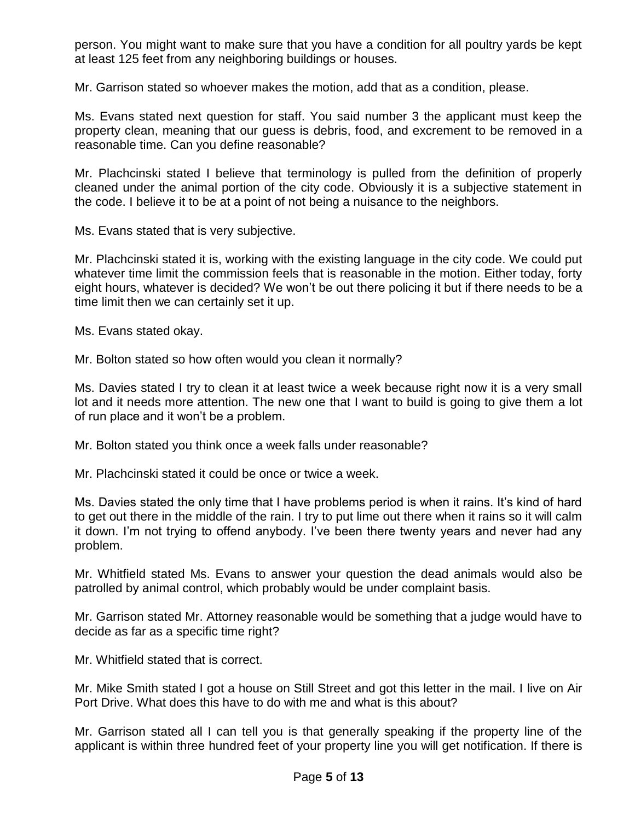person. You might want to make sure that you have a condition for all poultry yards be kept at least 125 feet from any neighboring buildings or houses.

Mr. Garrison stated so whoever makes the motion, add that as a condition, please.

Ms. Evans stated next question for staff. You said number 3 the applicant must keep the property clean, meaning that our guess is debris, food, and excrement to be removed in a reasonable time. Can you define reasonable?

Mr. Plachcinski stated I believe that terminology is pulled from the definition of properly cleaned under the animal portion of the city code. Obviously it is a subjective statement in the code. I believe it to be at a point of not being a nuisance to the neighbors.

Ms. Evans stated that is very subjective.

Mr. Plachcinski stated it is, working with the existing language in the city code. We could put whatever time limit the commission feels that is reasonable in the motion. Either today, forty eight hours, whatever is decided? We won't be out there policing it but if there needs to be a time limit then we can certainly set it up.

Ms. Evans stated okay.

Mr. Bolton stated so how often would you clean it normally?

Ms. Davies stated I try to clean it at least twice a week because right now it is a very small lot and it needs more attention. The new one that I want to build is going to give them a lot of run place and it won't be a problem.

Mr. Bolton stated you think once a week falls under reasonable?

Mr. Plachcinski stated it could be once or twice a week.

Ms. Davies stated the only time that I have problems period is when it rains. It's kind of hard to get out there in the middle of the rain. I try to put lime out there when it rains so it will calm it down. I'm not trying to offend anybody. I've been there twenty years and never had any problem.

Mr. Whitfield stated Ms. Evans to answer your question the dead animals would also be patrolled by animal control, which probably would be under complaint basis.

Mr. Garrison stated Mr. Attorney reasonable would be something that a judge would have to decide as far as a specific time right?

Mr. Whitfield stated that is correct.

Mr. Mike Smith stated I got a house on Still Street and got this letter in the mail. I live on Air Port Drive. What does this have to do with me and what is this about?

Mr. Garrison stated all I can tell you is that generally speaking if the property line of the applicant is within three hundred feet of your property line you will get notification. If there is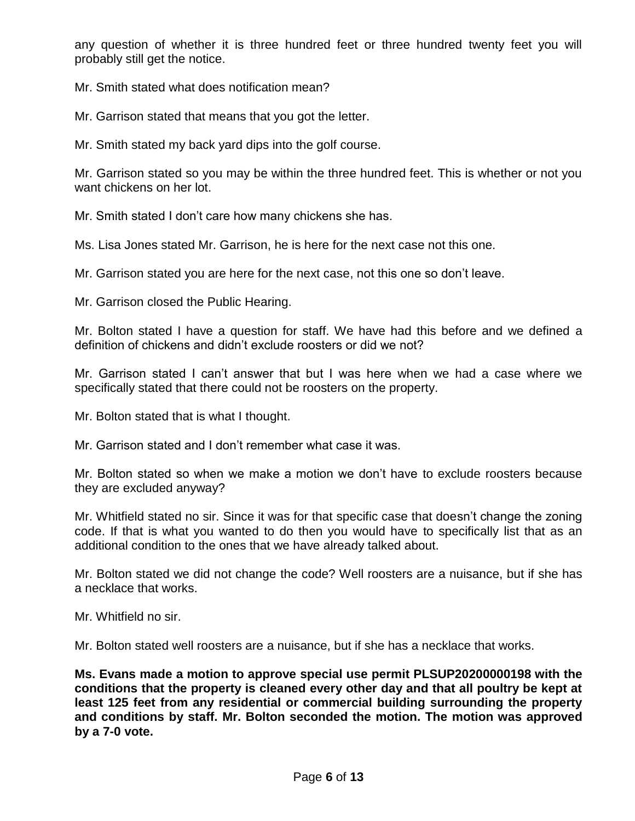any question of whether it is three hundred feet or three hundred twenty feet you will probably still get the notice.

Mr. Smith stated what does notification mean?

Mr. Garrison stated that means that you got the letter.

Mr. Smith stated my back yard dips into the golf course.

Mr. Garrison stated so you may be within the three hundred feet. This is whether or not you want chickens on her lot.

Mr. Smith stated I don't care how many chickens she has.

Ms. Lisa Jones stated Mr. Garrison, he is here for the next case not this one.

Mr. Garrison stated you are here for the next case, not this one so don't leave.

Mr. Garrison closed the Public Hearing.

Mr. Bolton stated I have a question for staff. We have had this before and we defined a definition of chickens and didn't exclude roosters or did we not?

Mr. Garrison stated I can't answer that but I was here when we had a case where we specifically stated that there could not be roosters on the property.

Mr. Bolton stated that is what I thought.

Mr. Garrison stated and I don't remember what case it was.

Mr. Bolton stated so when we make a motion we don't have to exclude roosters because they are excluded anyway?

Mr. Whitfield stated no sir. Since it was for that specific case that doesn't change the zoning code. If that is what you wanted to do then you would have to specifically list that as an additional condition to the ones that we have already talked about.

Mr. Bolton stated we did not change the code? Well roosters are a nuisance, but if she has a necklace that works.

Mr. Whitfield no sir.

Mr. Bolton stated well roosters are a nuisance, but if she has a necklace that works.

**Ms. Evans made a motion to approve special use permit PLSUP20200000198 with the conditions that the property is cleaned every other day and that all poultry be kept at least 125 feet from any residential or commercial building surrounding the property and conditions by staff. Mr. Bolton seconded the motion. The motion was approved by a 7-0 vote.**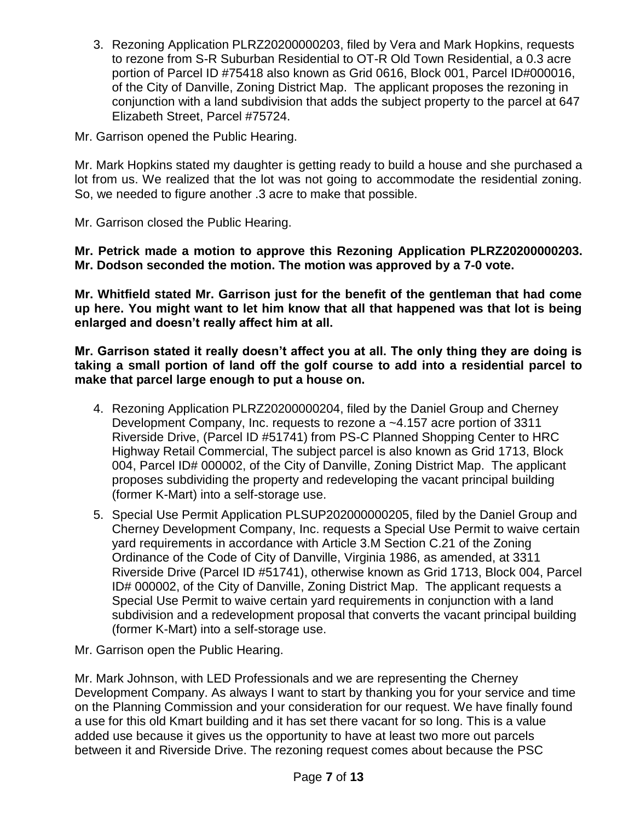3. Rezoning Application PLRZ20200000203, filed by Vera and Mark Hopkins, requests to rezone from S-R Suburban Residential to OT-R Old Town Residential, a 0.3 acre portion of Parcel ID #75418 also known as Grid 0616, Block 001, Parcel ID#000016, of the City of Danville, Zoning District Map. The applicant proposes the rezoning in conjunction with a land subdivision that adds the subject property to the parcel at 647 Elizabeth Street, Parcel #75724.

Mr. Garrison opened the Public Hearing.

Mr. Mark Hopkins stated my daughter is getting ready to build a house and she purchased a lot from us. We realized that the lot was not going to accommodate the residential zoning. So, we needed to figure another .3 acre to make that possible.

Mr. Garrison closed the Public Hearing.

**Mr. Petrick made a motion to approve this Rezoning Application PLRZ20200000203. Mr. Dodson seconded the motion. The motion was approved by a 7-0 vote.**

**Mr. Whitfield stated Mr. Garrison just for the benefit of the gentleman that had come up here. You might want to let him know that all that happened was that lot is being enlarged and doesn't really affect him at all.**

**Mr. Garrison stated it really doesn't affect you at all. The only thing they are doing is taking a small portion of land off the golf course to add into a residential parcel to make that parcel large enough to put a house on.**

- 4. Rezoning Application PLRZ20200000204, filed by the Daniel Group and Cherney Development Company, Inc. requests to rezone a ~4.157 acre portion of 3311 Riverside Drive, (Parcel ID #51741) from PS-C Planned Shopping Center to HRC Highway Retail Commercial, The subject parcel is also known as Grid 1713, Block 004, Parcel ID# 000002, of the City of Danville, Zoning District Map. The applicant proposes subdividing the property and redeveloping the vacant principal building (former K-Mart) into a self-storage use.
- 5. Special Use Permit Application PLSUP202000000205, filed by the Daniel Group and Cherney Development Company, Inc. requests a Special Use Permit to waive certain yard requirements in accordance with Article 3.M Section C.21 of the Zoning Ordinance of the Code of City of Danville, Virginia 1986, as amended, at 3311 Riverside Drive (Parcel ID #51741), otherwise known as Grid 1713, Block 004, Parcel ID# 000002, of the City of Danville, Zoning District Map. The applicant requests a Special Use Permit to waive certain yard requirements in conjunction with a land subdivision and a redevelopment proposal that converts the vacant principal building (former K-Mart) into a self-storage use.
- Mr. Garrison open the Public Hearing.

Mr. Mark Johnson, with LED Professionals and we are representing the Cherney Development Company. As always I want to start by thanking you for your service and time on the Planning Commission and your consideration for our request. We have finally found a use for this old Kmart building and it has set there vacant for so long. This is a value added use because it gives us the opportunity to have at least two more out parcels between it and Riverside Drive. The rezoning request comes about because the PSC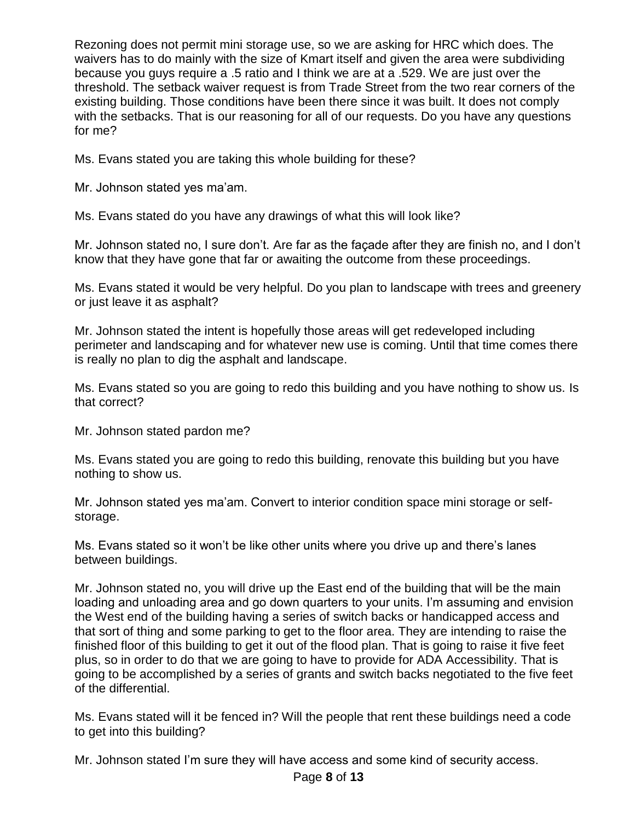Rezoning does not permit mini storage use, so we are asking for HRC which does. The waivers has to do mainly with the size of Kmart itself and given the area were subdividing because you guys require a .5 ratio and I think we are at a .529. We are just over the threshold. The setback waiver request is from Trade Street from the two rear corners of the existing building. Those conditions have been there since it was built. It does not comply with the setbacks. That is our reasoning for all of our requests. Do you have any questions for me?

Ms. Evans stated you are taking this whole building for these?

Mr. Johnson stated yes ma'am.

Ms. Evans stated do you have any drawings of what this will look like?

Mr. Johnson stated no, I sure don't. Are far as the façade after they are finish no, and I don't know that they have gone that far or awaiting the outcome from these proceedings.

Ms. Evans stated it would be very helpful. Do you plan to landscape with trees and greenery or just leave it as asphalt?

Mr. Johnson stated the intent is hopefully those areas will get redeveloped including perimeter and landscaping and for whatever new use is coming. Until that time comes there is really no plan to dig the asphalt and landscape.

Ms. Evans stated so you are going to redo this building and you have nothing to show us. Is that correct?

Mr. Johnson stated pardon me?

Ms. Evans stated you are going to redo this building, renovate this building but you have nothing to show us.

Mr. Johnson stated yes ma'am. Convert to interior condition space mini storage or selfstorage.

Ms. Evans stated so it won't be like other units where you drive up and there's lanes between buildings.

Mr. Johnson stated no, you will drive up the East end of the building that will be the main loading and unloading area and go down quarters to your units. I'm assuming and envision the West end of the building having a series of switch backs or handicapped access and that sort of thing and some parking to get to the floor area. They are intending to raise the finished floor of this building to get it out of the flood plan. That is going to raise it five feet plus, so in order to do that we are going to have to provide for ADA Accessibility. That is going to be accomplished by a series of grants and switch backs negotiated to the five feet of the differential.

Ms. Evans stated will it be fenced in? Will the people that rent these buildings need a code to get into this building?

Mr. Johnson stated I'm sure they will have access and some kind of security access.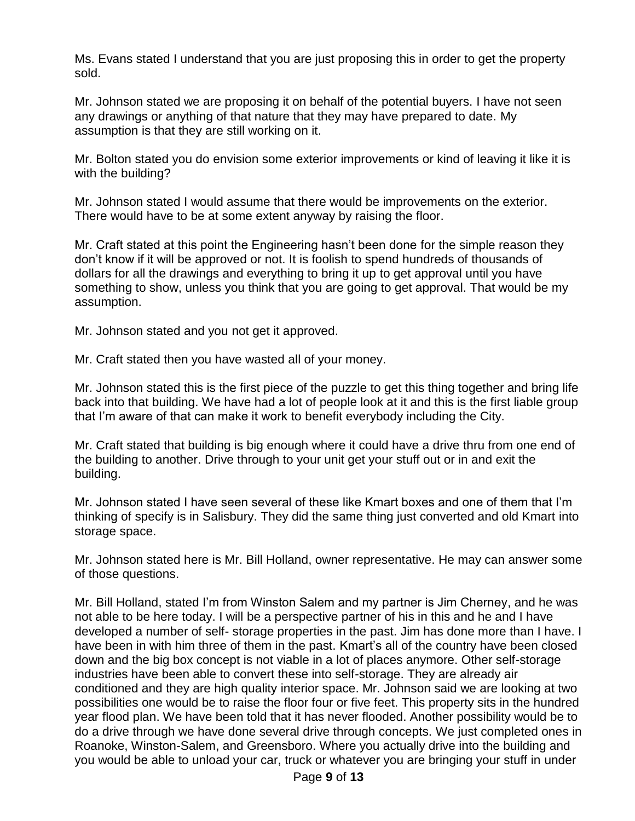Ms. Evans stated I understand that you are just proposing this in order to get the property sold.

Mr. Johnson stated we are proposing it on behalf of the potential buyers. I have not seen any drawings or anything of that nature that they may have prepared to date. My assumption is that they are still working on it.

Mr. Bolton stated you do envision some exterior improvements or kind of leaving it like it is with the building?

Mr. Johnson stated I would assume that there would be improvements on the exterior. There would have to be at some extent anyway by raising the floor.

Mr. Craft stated at this point the Engineering hasn't been done for the simple reason they don't know if it will be approved or not. It is foolish to spend hundreds of thousands of dollars for all the drawings and everything to bring it up to get approval until you have something to show, unless you think that you are going to get approval. That would be my assumption.

Mr. Johnson stated and you not get it approved.

Mr. Craft stated then you have wasted all of your money.

Mr. Johnson stated this is the first piece of the puzzle to get this thing together and bring life back into that building. We have had a lot of people look at it and this is the first liable group that I'm aware of that can make it work to benefit everybody including the City.

Mr. Craft stated that building is big enough where it could have a drive thru from one end of the building to another. Drive through to your unit get your stuff out or in and exit the building.

Mr. Johnson stated I have seen several of these like Kmart boxes and one of them that I'm thinking of specify is in Salisbury. They did the same thing just converted and old Kmart into storage space.

Mr. Johnson stated here is Mr. Bill Holland, owner representative. He may can answer some of those questions.

Mr. Bill Holland, stated I'm from Winston Salem and my partner is Jim Cherney, and he was not able to be here today. I will be a perspective partner of his in this and he and I have developed a number of self- storage properties in the past. Jim has done more than I have. I have been in with him three of them in the past. Kmart's all of the country have been closed down and the big box concept is not viable in a lot of places anymore. Other self-storage industries have been able to convert these into self-storage. They are already air conditioned and they are high quality interior space. Mr. Johnson said we are looking at two possibilities one would be to raise the floor four or five feet. This property sits in the hundred year flood plan. We have been told that it has never flooded. Another possibility would be to do a drive through we have done several drive through concepts. We just completed ones in Roanoke, Winston-Salem, and Greensboro. Where you actually drive into the building and you would be able to unload your car, truck or whatever you are bringing your stuff in under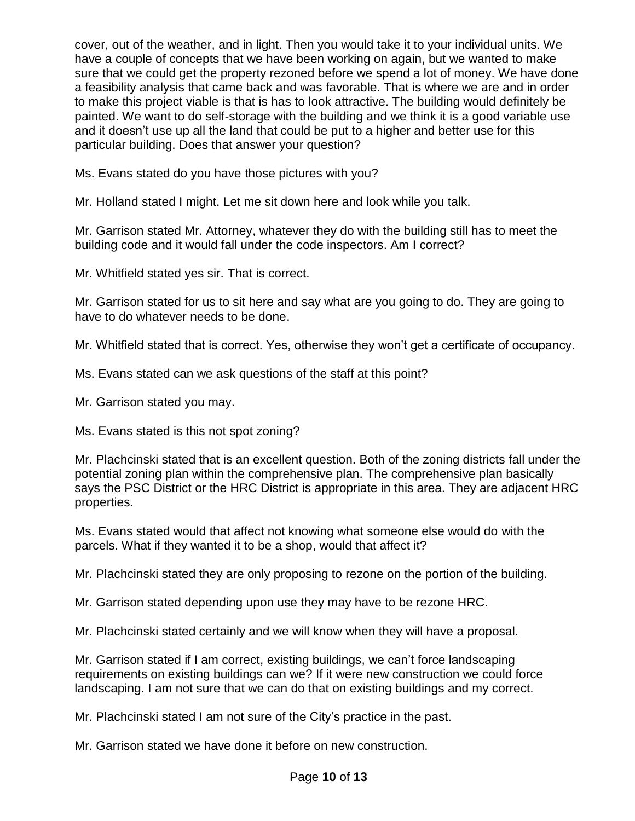cover, out of the weather, and in light. Then you would take it to your individual units. We have a couple of concepts that we have been working on again, but we wanted to make sure that we could get the property rezoned before we spend a lot of money. We have done a feasibility analysis that came back and was favorable. That is where we are and in order to make this project viable is that is has to look attractive. The building would definitely be painted. We want to do self-storage with the building and we think it is a good variable use and it doesn't use up all the land that could be put to a higher and better use for this particular building. Does that answer your question?

Ms. Evans stated do you have those pictures with you?

Mr. Holland stated I might. Let me sit down here and look while you talk.

Mr. Garrison stated Mr. Attorney, whatever they do with the building still has to meet the building code and it would fall under the code inspectors. Am I correct?

Mr. Whitfield stated yes sir. That is correct.

Mr. Garrison stated for us to sit here and say what are you going to do. They are going to have to do whatever needs to be done.

Mr. Whitfield stated that is correct. Yes, otherwise they won't get a certificate of occupancy.

Ms. Evans stated can we ask questions of the staff at this point?

Mr. Garrison stated you may.

Ms. Evans stated is this not spot zoning?

Mr. Plachcinski stated that is an excellent question. Both of the zoning districts fall under the potential zoning plan within the comprehensive plan. The comprehensive plan basically says the PSC District or the HRC District is appropriate in this area. They are adjacent HRC properties.

Ms. Evans stated would that affect not knowing what someone else would do with the parcels. What if they wanted it to be a shop, would that affect it?

Mr. Plachcinski stated they are only proposing to rezone on the portion of the building.

Mr. Garrison stated depending upon use they may have to be rezone HRC.

Mr. Plachcinski stated certainly and we will know when they will have a proposal.

Mr. Garrison stated if I am correct, existing buildings, we can't force landscaping requirements on existing buildings can we? If it were new construction we could force landscaping. I am not sure that we can do that on existing buildings and my correct.

Mr. Plachcinski stated I am not sure of the City's practice in the past.

Mr. Garrison stated we have done it before on new construction.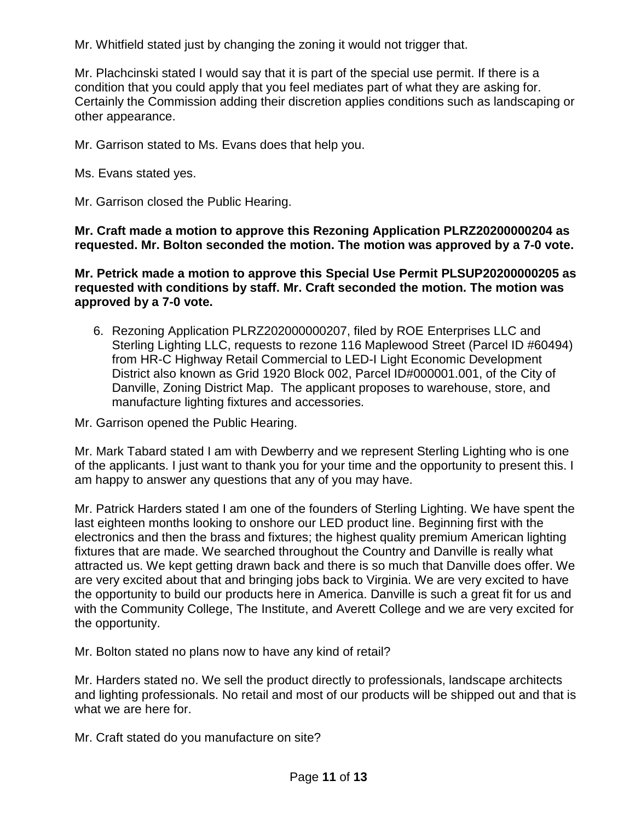Mr. Whitfield stated just by changing the zoning it would not trigger that.

Mr. Plachcinski stated I would say that it is part of the special use permit. If there is a condition that you could apply that you feel mediates part of what they are asking for. Certainly the Commission adding their discretion applies conditions such as landscaping or other appearance.

Mr. Garrison stated to Ms. Evans does that help you.

Ms. Evans stated yes.

Mr. Garrison closed the Public Hearing.

**Mr. Craft made a motion to approve this Rezoning Application PLRZ20200000204 as requested. Mr. Bolton seconded the motion. The motion was approved by a 7-0 vote.**

**Mr. Petrick made a motion to approve this Special Use Permit PLSUP20200000205 as requested with conditions by staff. Mr. Craft seconded the motion. The motion was approved by a 7-0 vote.**

6. Rezoning Application PLRZ202000000207, filed by ROE Enterprises LLC and Sterling Lighting LLC, requests to rezone 116 Maplewood Street (Parcel ID #60494) from HR-C Highway Retail Commercial to LED-I Light Economic Development District also known as Grid 1920 Block 002, Parcel ID#000001.001, of the City of Danville, Zoning District Map. The applicant proposes to warehouse, store, and manufacture lighting fixtures and accessories.

Mr. Garrison opened the Public Hearing.

Mr. Mark Tabard stated I am with Dewberry and we represent Sterling Lighting who is one of the applicants. I just want to thank you for your time and the opportunity to present this. I am happy to answer any questions that any of you may have.

Mr. Patrick Harders stated I am one of the founders of Sterling Lighting. We have spent the last eighteen months looking to onshore our LED product line. Beginning first with the electronics and then the brass and fixtures; the highest quality premium American lighting fixtures that are made. We searched throughout the Country and Danville is really what attracted us. We kept getting drawn back and there is so much that Danville does offer. We are very excited about that and bringing jobs back to Virginia. We are very excited to have the opportunity to build our products here in America. Danville is such a great fit for us and with the Community College, The Institute, and Averett College and we are very excited for the opportunity.

Mr. Bolton stated no plans now to have any kind of retail?

Mr. Harders stated no. We sell the product directly to professionals, landscape architects and lighting professionals. No retail and most of our products will be shipped out and that is what we are here for.

Mr. Craft stated do you manufacture on site?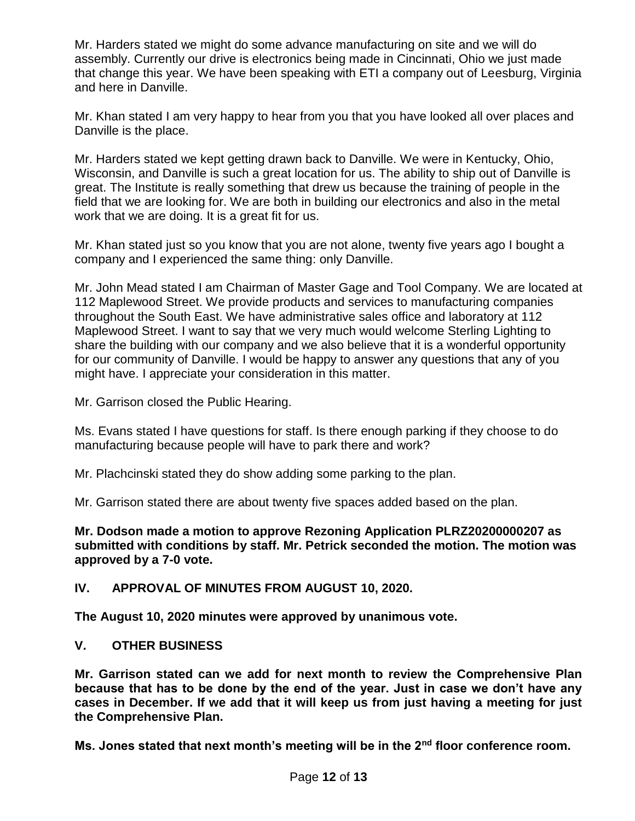Mr. Harders stated we might do some advance manufacturing on site and we will do assembly. Currently our drive is electronics being made in Cincinnati, Ohio we just made that change this year. We have been speaking with ETI a company out of Leesburg, Virginia and here in Danville.

Mr. Khan stated I am very happy to hear from you that you have looked all over places and Danville is the place.

Mr. Harders stated we kept getting drawn back to Danville. We were in Kentucky, Ohio, Wisconsin, and Danville is such a great location for us. The ability to ship out of Danville is great. The Institute is really something that drew us because the training of people in the field that we are looking for. We are both in building our electronics and also in the metal work that we are doing. It is a great fit for us.

Mr. Khan stated just so you know that you are not alone, twenty five years ago I bought a company and I experienced the same thing: only Danville.

Mr. John Mead stated I am Chairman of Master Gage and Tool Company. We are located at 112 Maplewood Street. We provide products and services to manufacturing companies throughout the South East. We have administrative sales office and laboratory at 112 Maplewood Street. I want to say that we very much would welcome Sterling Lighting to share the building with our company and we also believe that it is a wonderful opportunity for our community of Danville. I would be happy to answer any questions that any of you might have. I appreciate your consideration in this matter.

Mr. Garrison closed the Public Hearing.

Ms. Evans stated I have questions for staff. Is there enough parking if they choose to do manufacturing because people will have to park there and work?

Mr. Plachcinski stated they do show adding some parking to the plan.

Mr. Garrison stated there are about twenty five spaces added based on the plan.

**Mr. Dodson made a motion to approve Rezoning Application PLRZ20200000207 as submitted with conditions by staff. Mr. Petrick seconded the motion. The motion was approved by a 7-0 vote.**

**IV. APPROVAL OF MINUTES FROM AUGUST 10, 2020.**

**The August 10, 2020 minutes were approved by unanimous vote.**

### **V. OTHER BUSINESS**

**Mr. Garrison stated can we add for next month to review the Comprehensive Plan because that has to be done by the end of the year. Just in case we don't have any cases in December. If we add that it will keep us from just having a meeting for just the Comprehensive Plan.** 

**Ms. Jones stated that next month's meeting will be in the 2nd floor conference room.**